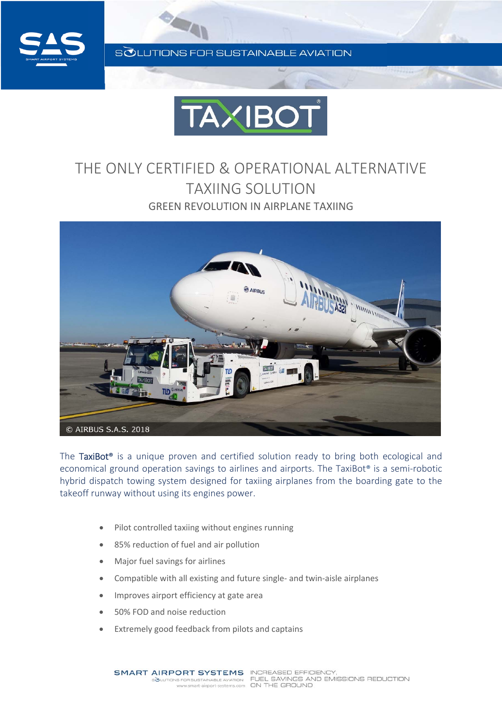

SOLUTIONS FOR SUSTAINABLE AVIATION



## THE ONLY CERTIFIED & OPERATIONAL ALTERNATIVE TAXIING SOLUTION GREEN REVOLUTION IN AIRPLANE TAXIING



The TaxiBot**®** is a unique proven and certified solution ready to bring both ecological and economical ground operation savings to airlines and airports. The TaxiBot<sup>®</sup> is a semi-robotic hybrid dispatch towing system designed for taxiing airplanes from the boarding gate to the takeoff runway without using its engines power.

- Pilot controlled taxiing without engines running
- 85% reduction of fuel and air pollution
- Major fuel savings for airlines
- Compatible with all existing and future single‐ and twin‐aisle airplanes
- Improves airport efficiency at gate area
- 50% FOD and noise reduction
- Extremely good feedback from pilots and captains